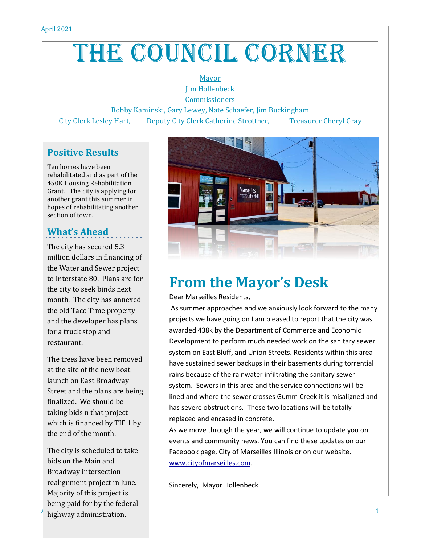# THE COUNCIL CORNER

#### Mayor Jim Hollenbeck

**Commissioners** 

Bobby Kaminski, Gary Lewey, Nate Schaefer, Jim Buckingham City Clerk Lesley Hart, Deputy City Clerk Catherine Strottner, Treasurer Cheryl Gray

#### **Positive Results**

Ten homes have been rehabilitated and as part of the 450K Housing Rehabilitation Grant. The city is applying for another grant this summer in hopes of rehabilitating another section of town.

#### **What's Ahead**

The city has secured 5.3 million dollars in financing of the Water and Sewer project to Interstate 80. Plans are for the city to seek binds next month. The city has annexed the old Taco Time property and the developer has plans for a truck stop and restaurant.

The trees have been removed at the site of the new boat launch on East Broadway Street and the plans are being finalized. We should be taking bids n that project which is financed by TIF 1 by the end of the month.

 $A$  highway administration. The contraction of  $A$  is the contraction of  $A$ The city is scheduled to take bids on the Main and Broadway intersection realignment project in June. Majority of this project is being paid for by the federal



## **From the Mayor's Desk**

Dear Marseilles Residents,

As summer approaches and we anxiously look forward to the many projects we have going on I am pleased to report that the city was awarded 438k by the Department of Commerce and Economic Development to perform much needed work on the sanitary sewer system on East Bluff, and Union Streets. Residents within this area have sustained sewer backups in their basements during torrential rains because of the rainwater infiltrating the sanitary sewer system. Sewers in this area and the service connections will be lined and where the sewer crosses Gumm Creek it is misaligned and has severe obstructions. These two locations will be totally replaced and encased in concrete.

As we move through the year, we will continue to update you on events and community news. You can find these updates on our Facebook page, City of Marseilles Illinois or on our website, [www.cityofmarseilles.com.](http://www.cityofmarseilles.com/)

Sincerely, Mayor Hollenbeck